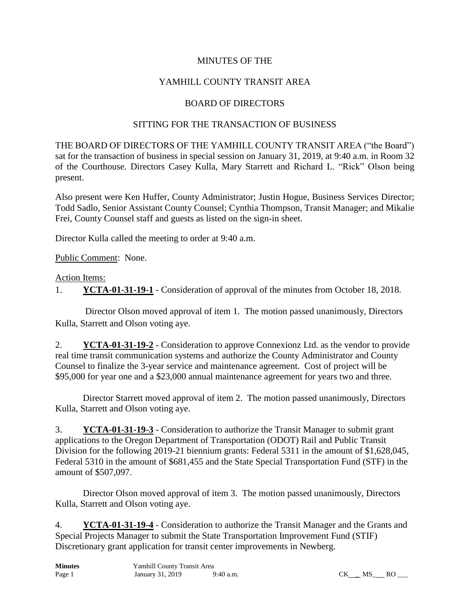### MINUTES OF THE

## YAMHILL COUNTY TRANSIT AREA

#### BOARD OF DIRECTORS

#### SITTING FOR THE TRANSACTION OF BUSINESS

THE BOARD OF DIRECTORS OF THE YAMHILL COUNTY TRANSIT AREA ("the Board") sat for the transaction of business in special session on January 31, 2019, at 9:40 a.m. in Room 32 of the Courthouse. Directors Casey Kulla, Mary Starrett and Richard L. "Rick" Olson being present.

Also present were Ken Huffer, County Administrator; Justin Hogue, Business Services Director; Todd Sadlo, Senior Assistant County Counsel; Cynthia Thompson, Transit Manager; and Mikalie Frei, County Counsel staff and guests as listed on the sign-in sheet.

Director Kulla called the meeting to order at 9:40 a.m.

Public Comment: None.

#### Action Items:

1. **YCTA-01-31-19-1** - Consideration of approval of the minutes from October 18, 2018.

Director Olson moved approval of item 1. The motion passed unanimously, Directors Kulla, Starrett and Olson voting aye.

2. **YCTA-01-31-19-2** - Consideration to approve Connexionz Ltd. as the vendor to provide real time transit communication systems and authorize the County Administrator and County Counsel to finalize the 3-year service and maintenance agreement. Cost of project will be \$95,000 for year one and a \$23,000 annual maintenance agreement for years two and three.

Director Starrett moved approval of item 2. The motion passed unanimously, Directors Kulla, Starrett and Olson voting aye.

3. **YCTA-01-31-19-3** - Consideration to authorize the Transit Manager to submit grant applications to the Oregon Department of Transportation (ODOT) Rail and Public Transit Division for the following 2019-21 biennium grants: Federal 5311 in the amount of \$1,628,045, Federal 5310 in the amount of \$681,455 and the State Special Transportation Fund (STF) in the amount of \$507,097.

Director Olson moved approval of item 3. The motion passed unanimously, Directors Kulla, Starrett and Olson voting aye.

4. **YCTA-01-31-19-4** - Consideration to authorize the Transit Manager and the Grants and Special Projects Manager to submit the State Transportation Improvement Fund (STIF) Discretionary grant application for transit center improvements in Newberg.